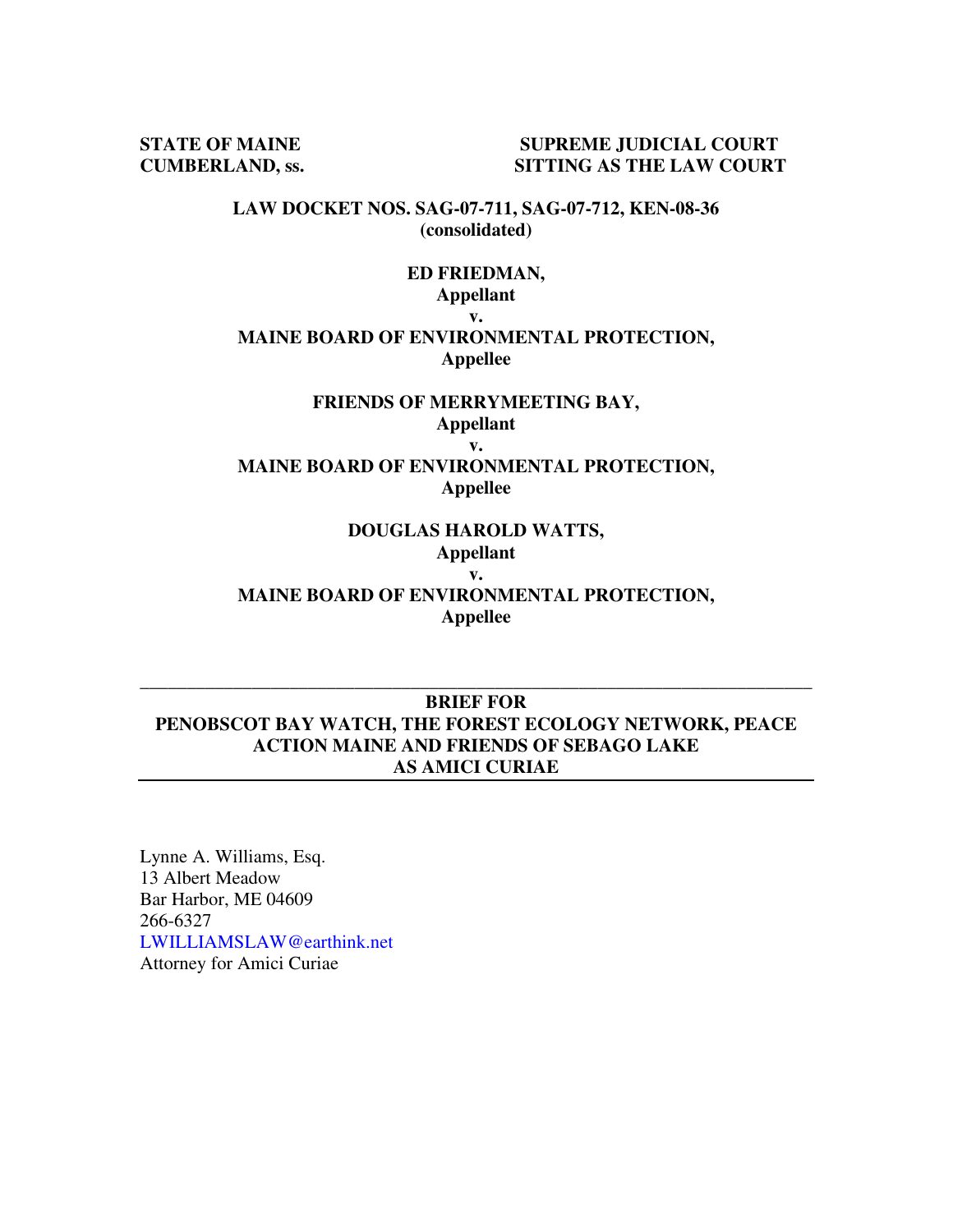**STATE OF MAINE SUPREME JUDICIAL COURT CUMBERLAND, ss. SITTING AS THE LAW COURT** 

> **LAW DOCKET NOS. SAG-07-711, SAG-07-712, KEN-08-36 (consolidated)**

#### **ED FRIEDMAN, Appellant v.**

#### **MAINE BOARD OF ENVIRONMENTAL PROTECTION, Appellee**

#### **FRIENDS OF MERRYMEETING BAY, Appellant**

**v.** 

**MAINE BOARD OF ENVIRONMENTAL PROTECTION, Appellee** 

# **DOUGLAS HAROLD WATTS,**

**Appellant v.** 

**MAINE BOARD OF ENVIRONMENTAL PROTECTION, Appellee** 

## **BRIEF FOR PENOBSCOT BAY WATCH, THE FOREST ECOLOGY NETWORK, PEACE ACTION MAINE AND FRIENDS OF SEBAGO LAKE AS AMICI CURIAE**

**\_\_\_\_\_\_\_\_\_\_\_\_\_\_\_\_\_\_\_\_\_\_\_\_\_\_\_\_\_\_\_\_\_\_\_\_\_\_\_\_\_\_\_\_\_\_\_\_\_\_\_\_\_\_\_\_\_\_\_\_\_\_\_\_\_\_\_\_\_\_\_\_** 

Lynne A. Williams, Esq. 13 Albert Meadow Bar Harbor, ME 04609 266-6327 LWILLIAMSLAW@earthink.net Attorney for Amici Curiae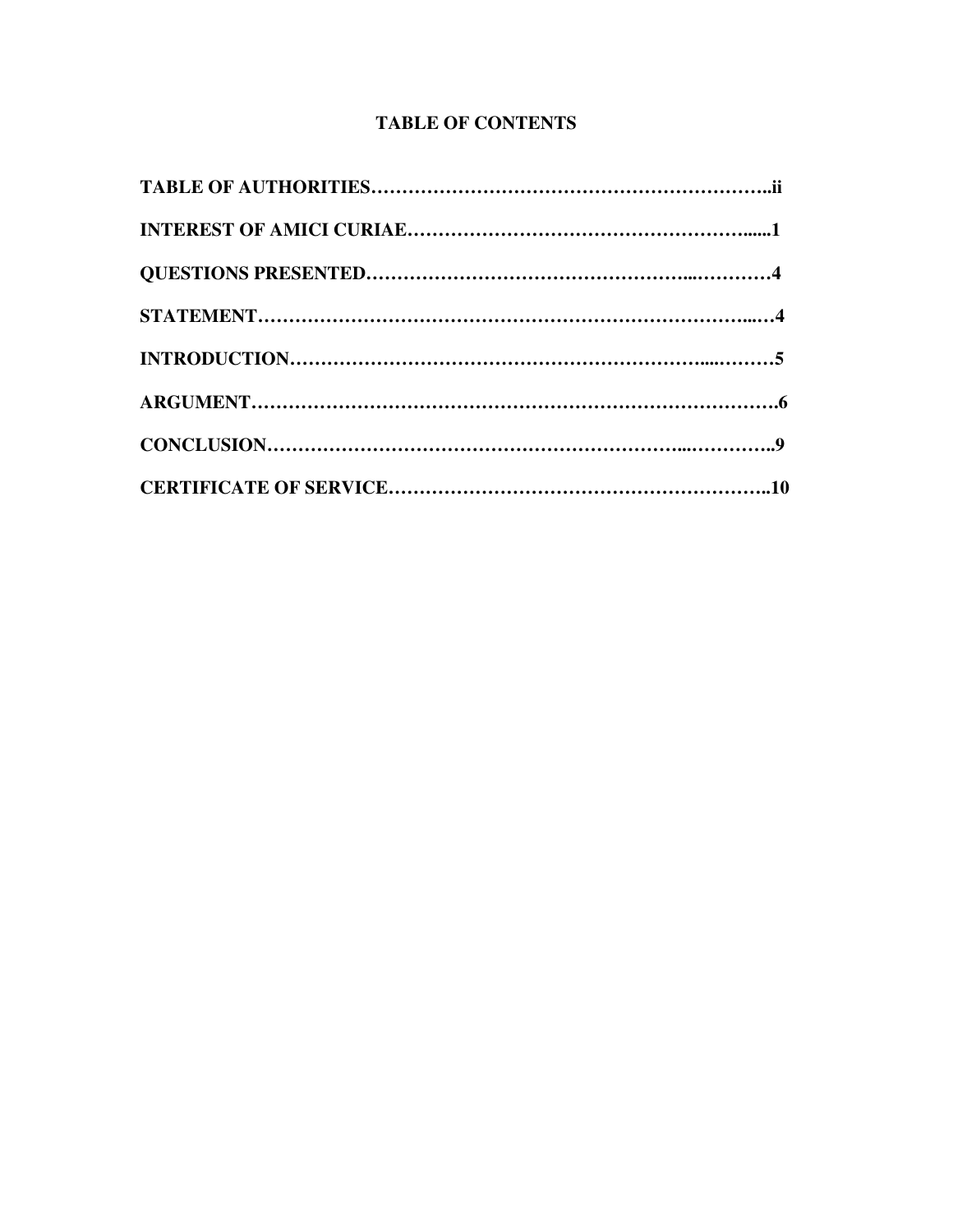## **TABLE OF CONTENTS**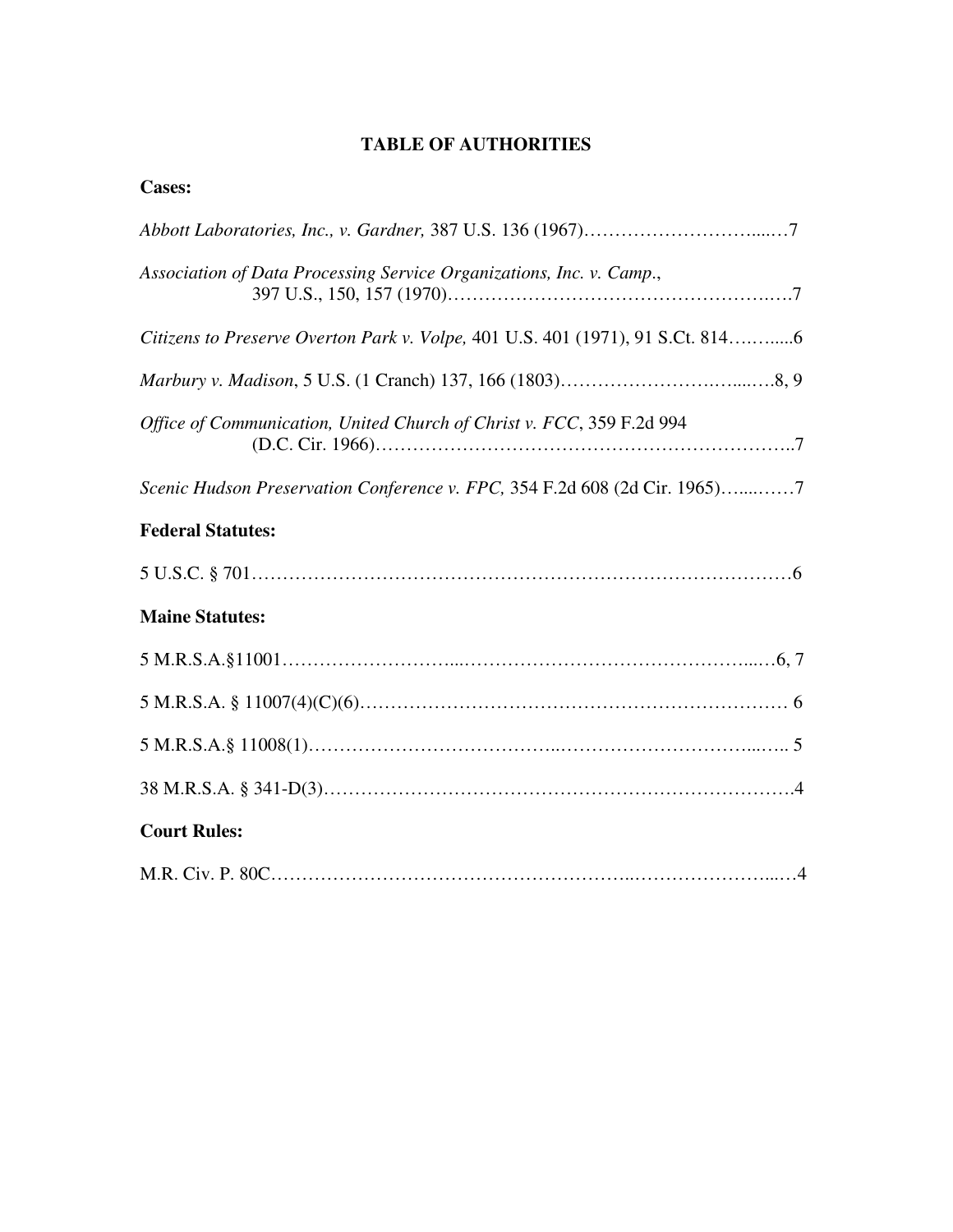## **TABLE OF AUTHORITIES**

| <b>Cases:</b>                                                                  |
|--------------------------------------------------------------------------------|
|                                                                                |
| Association of Data Processing Service Organizations, Inc. v. Camp.,           |
| Citizens to Preserve Overton Park v. Volpe, 401 U.S. 401 (1971), 91 S.Ct. 8146 |
|                                                                                |
| Office of Communication, United Church of Christ v. FCC, 359 F.2d 994          |
| Scenic Hudson Preservation Conference v. FPC, 354 F.2d 608 (2d Cir. 1965)7     |
| <b>Federal Statutes:</b>                                                       |
|                                                                                |
| <b>Maine Statutes:</b>                                                         |
|                                                                                |
|                                                                                |
|                                                                                |
|                                                                                |
| <b>Court Rules:</b>                                                            |
|                                                                                |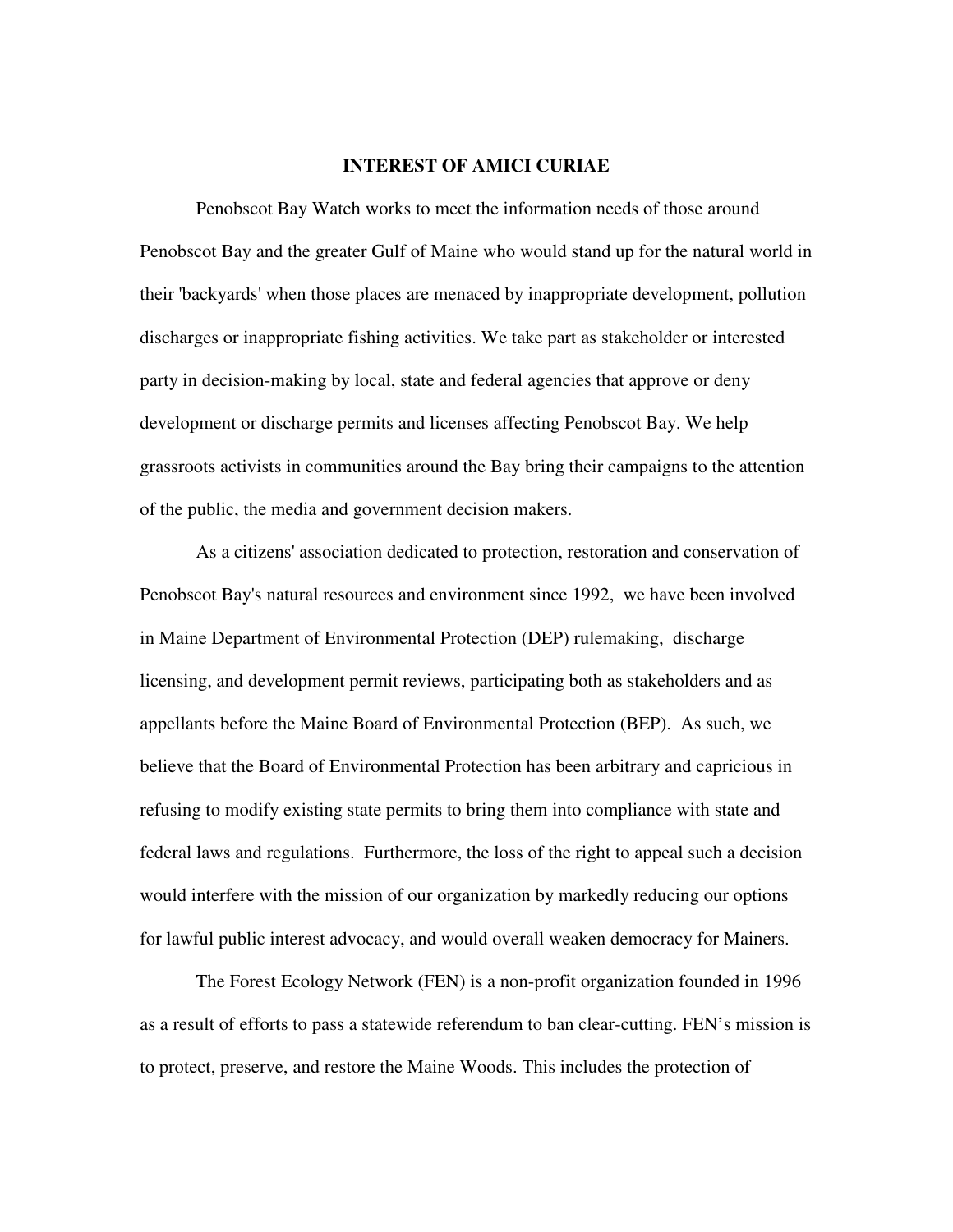#### **INTEREST OF AMICI CURIAE**

 Penobscot Bay Watch works to meet the information needs of those around Penobscot Bay and the greater Gulf of Maine who would stand up for the natural world in their 'backyards' when those places are menaced by inappropriate development, pollution discharges or inappropriate fishing activities. We take part as stakeholder or interested party in decision-making by local, state and federal agencies that approve or deny development or discharge permits and licenses affecting Penobscot Bay. We help grassroots activists in communities around the Bay bring their campaigns to the attention of the public, the media and government decision makers.

 As a citizens' association dedicated to protection, restoration and conservation of Penobscot Bay's natural resources and environment since 1992, we have been involved in Maine Department of Environmental Protection (DEP) rulemaking, discharge licensing, and development permit reviews, participating both as stakeholders and as appellants before the Maine Board of Environmental Protection (BEP). As such, we believe that the Board of Environmental Protection has been arbitrary and capricious in refusing to modify existing state permits to bring them into compliance with state and federal laws and regulations. Furthermore, the loss of the right to appeal such a decision would interfere with the mission of our organization by markedly reducing our options for lawful public interest advocacy, and would overall weaken democracy for Mainers.

 The Forest Ecology Network (FEN) is a non-profit organization founded in 1996 as a result of efforts to pass a statewide referendum to ban clear-cutting. FEN's mission is to protect, preserve, and restore the Maine Woods. This includes the protection of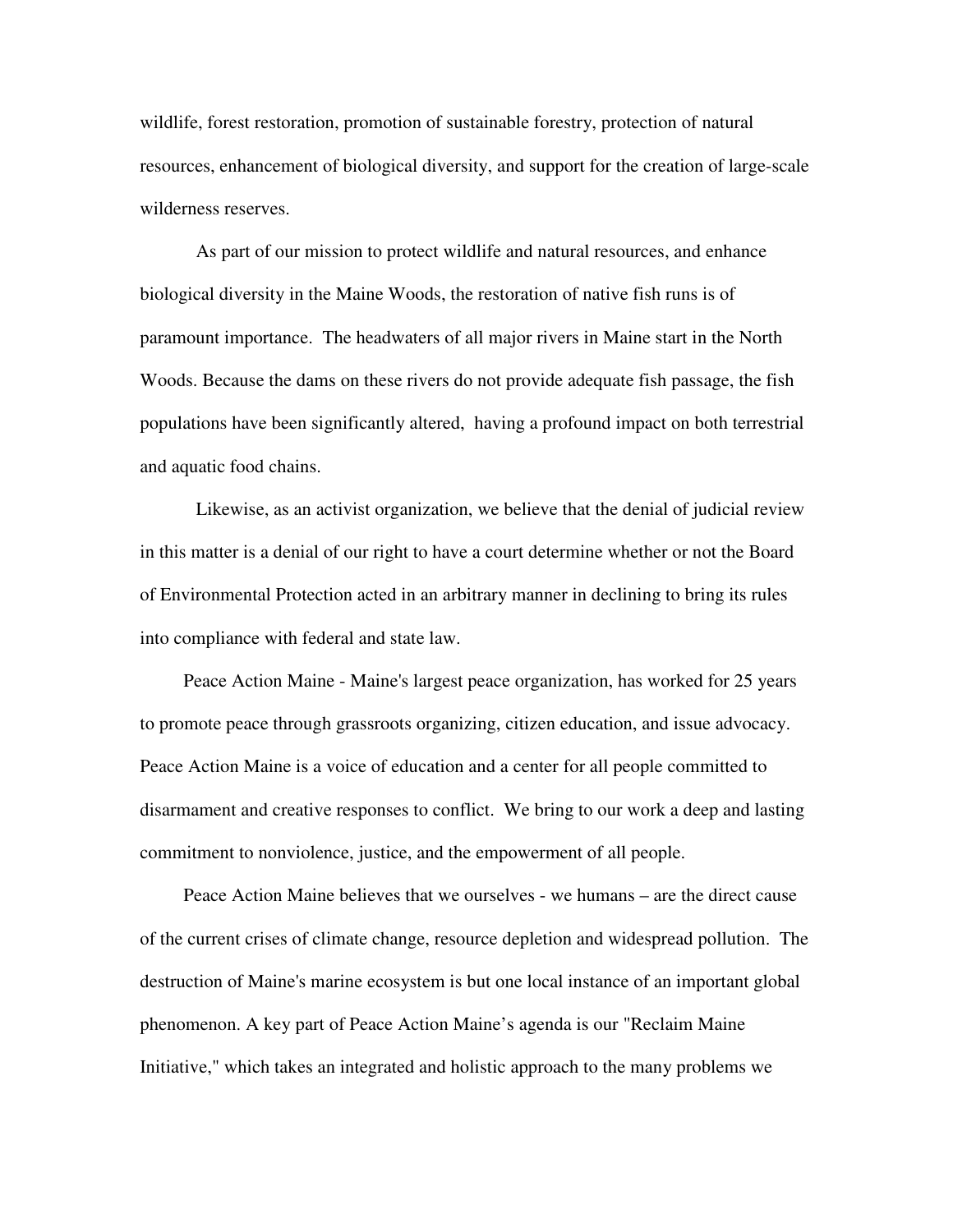wildlife, forest restoration, promotion of sustainable forestry, protection of natural resources, enhancement of biological diversity, and support for the creation of large-scale wilderness reserves.

 As part of our mission to protect wildlife and natural resources, and enhance biological diversity in the Maine Woods, the restoration of native fish runs is of paramount importance. The headwaters of all major rivers in Maine start in the North Woods. Because the dams on these rivers do not provide adequate fish passage, the fish populations have been significantly altered, having a profound impact on both terrestrial and aquatic food chains.

 Likewise, as an activist organization, we believe that the denial of judicial review in this matter is a denial of our right to have a court determine whether or not the Board of Environmental Protection acted in an arbitrary manner in declining to bring its rules into compliance with federal and state law.

 Peace Action Maine - Maine's largest peace organization, has worked for 25 years to promote peace through grassroots organizing, citizen education, and issue advocacy. Peace Action Maine is a voice of education and a center for all people committed to disarmament and creative responses to conflict. We bring to our work a deep and lasting commitment to nonviolence, justice, and the empowerment of all people.

 Peace Action Maine believes that we ourselves - we humans – are the direct cause of the current crises of climate change, resource depletion and widespread pollution. The destruction of Maine's marine ecosystem is but one local instance of an important global phenomenon. A key part of Peace Action Maine's agenda is our "Reclaim Maine Initiative," which takes an integrated and holistic approach to the many problems we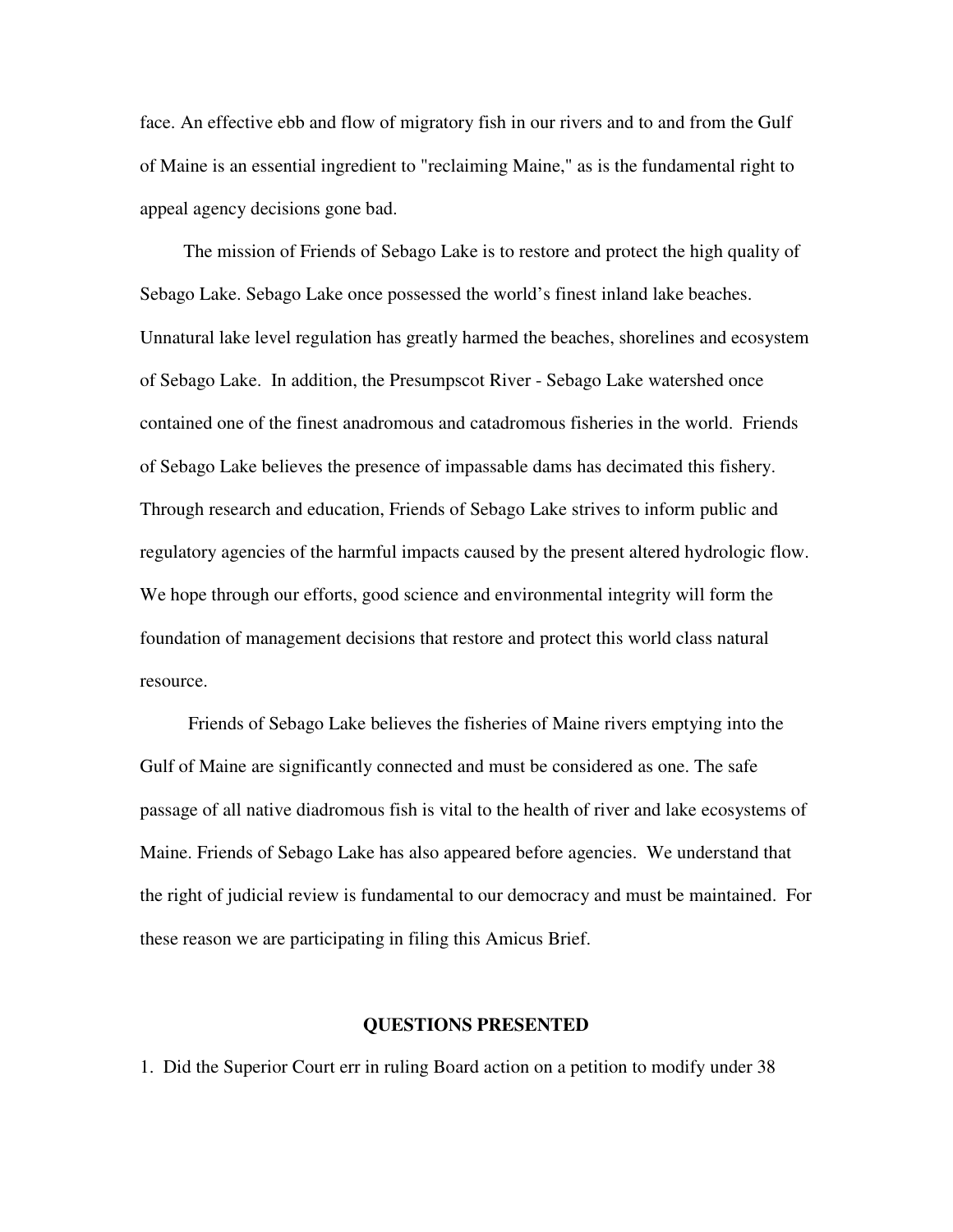face. An effective ebb and flow of migratory fish in our rivers and to and from the Gulf of Maine is an essential ingredient to "reclaiming Maine," as is the fundamental right to appeal agency decisions gone bad.

 The mission of Friends of Sebago Lake is to restore and protect the high quality of Sebago Lake. Sebago Lake once possessed the world's finest inland lake beaches. Unnatural lake level regulation has greatly harmed the beaches, shorelines and ecosystem of Sebago Lake. In addition, the Presumpscot River - Sebago Lake watershed once contained one of the finest anadromous and catadromous fisheries in the world. Friends of Sebago Lake believes the presence of impassable dams has decimated this fishery. Through research and education, Friends of Sebago Lake strives to inform public and regulatory agencies of the harmful impacts caused by the present altered hydrologic flow. We hope through our efforts, good science and environmental integrity will form the foundation of management decisions that restore and protect this world class natural resource.

 Friends of Sebago Lake believes the fisheries of Maine rivers emptying into the Gulf of Maine are significantly connected and must be considered as one. The safe passage of all native diadromous fish is vital to the health of river and lake ecosystems of Maine. Friends of Sebago Lake has also appeared before agencies. We understand that the right of judicial review is fundamental to our democracy and must be maintained. For these reason we are participating in filing this Amicus Brief.

#### **QUESTIONS PRESENTED**

1. Did the Superior Court err in ruling Board action on a petition to modify under 38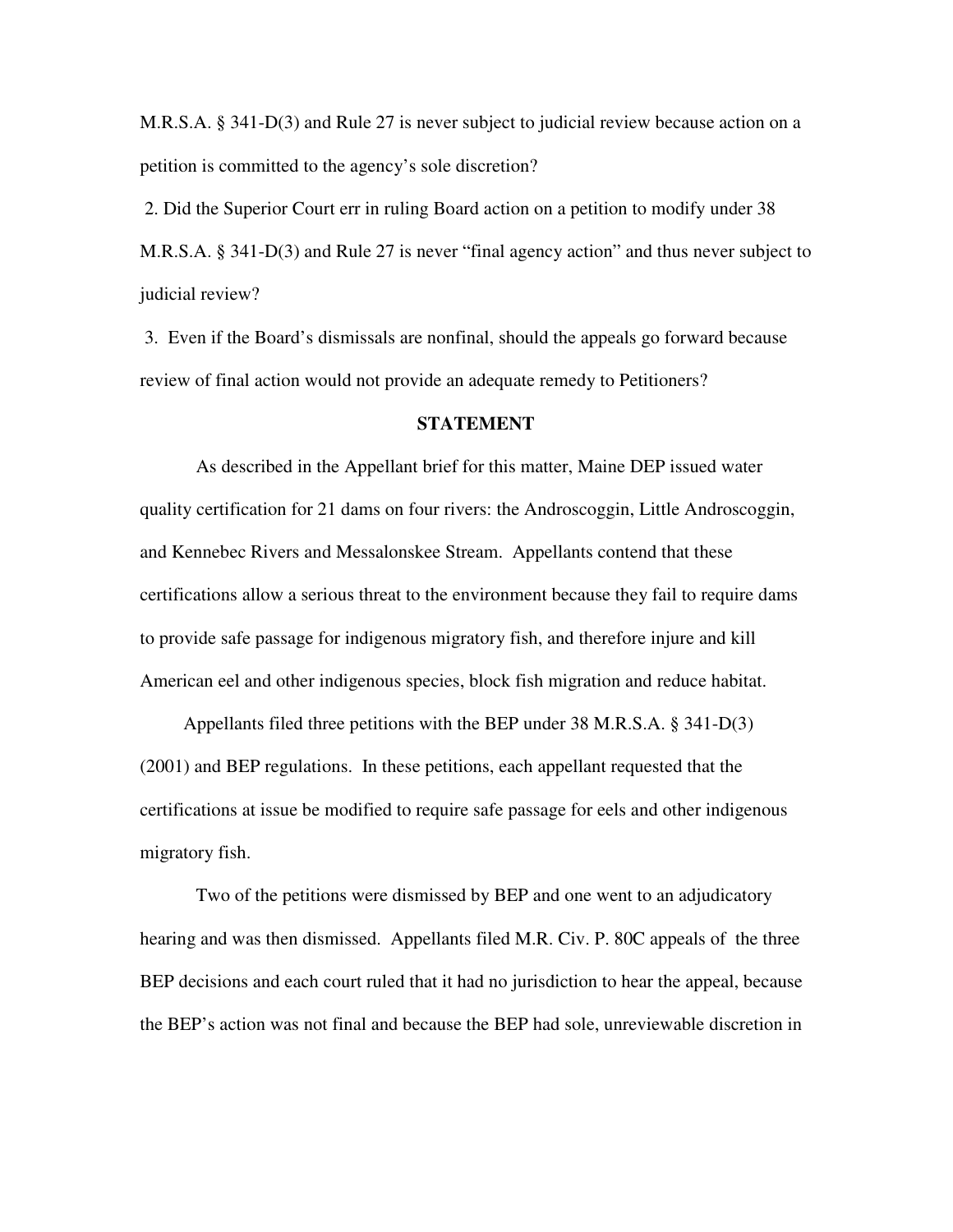M.R.S.A. § 341-D(3) and Rule 27 is never subject to judicial review because action on a petition is committed to the agency's sole discretion?

 2. Did the Superior Court err in ruling Board action on a petition to modify under 38 M.R.S.A. § 341-D(3) and Rule 27 is never "final agency action" and thus never subject to judicial review?

 3. Even if the Board's dismissals are nonfinal, should the appeals go forward because review of final action would not provide an adequate remedy to Petitioners?

#### **STATEMENT**

As described in the Appellant brief for this matter, Maine DEP issued water quality certification for 21 dams on four rivers: the Androscoggin, Little Androscoggin, and Kennebec Rivers and Messalonskee Stream. Appellants contend that these certifications allow a serious threat to the environment because they fail to require dams to provide safe passage for indigenous migratory fish, and therefore injure and kill American eel and other indigenous species, block fish migration and reduce habitat.

 Appellants filed three petitions with the BEP under 38 M.R.S.A. § 341-D(3) (2001) and BEP regulations. In these petitions, each appellant requested that the certifications at issue be modified to require safe passage for eels and other indigenous migratory fish.

 Two of the petitions were dismissed by BEP and one went to an adjudicatory hearing and was then dismissed. Appellants filed M.R. Civ. P. 80C appeals of the three BEP decisions and each court ruled that it had no jurisdiction to hear the appeal, because the BEP's action was not final and because the BEP had sole, unreviewable discretion in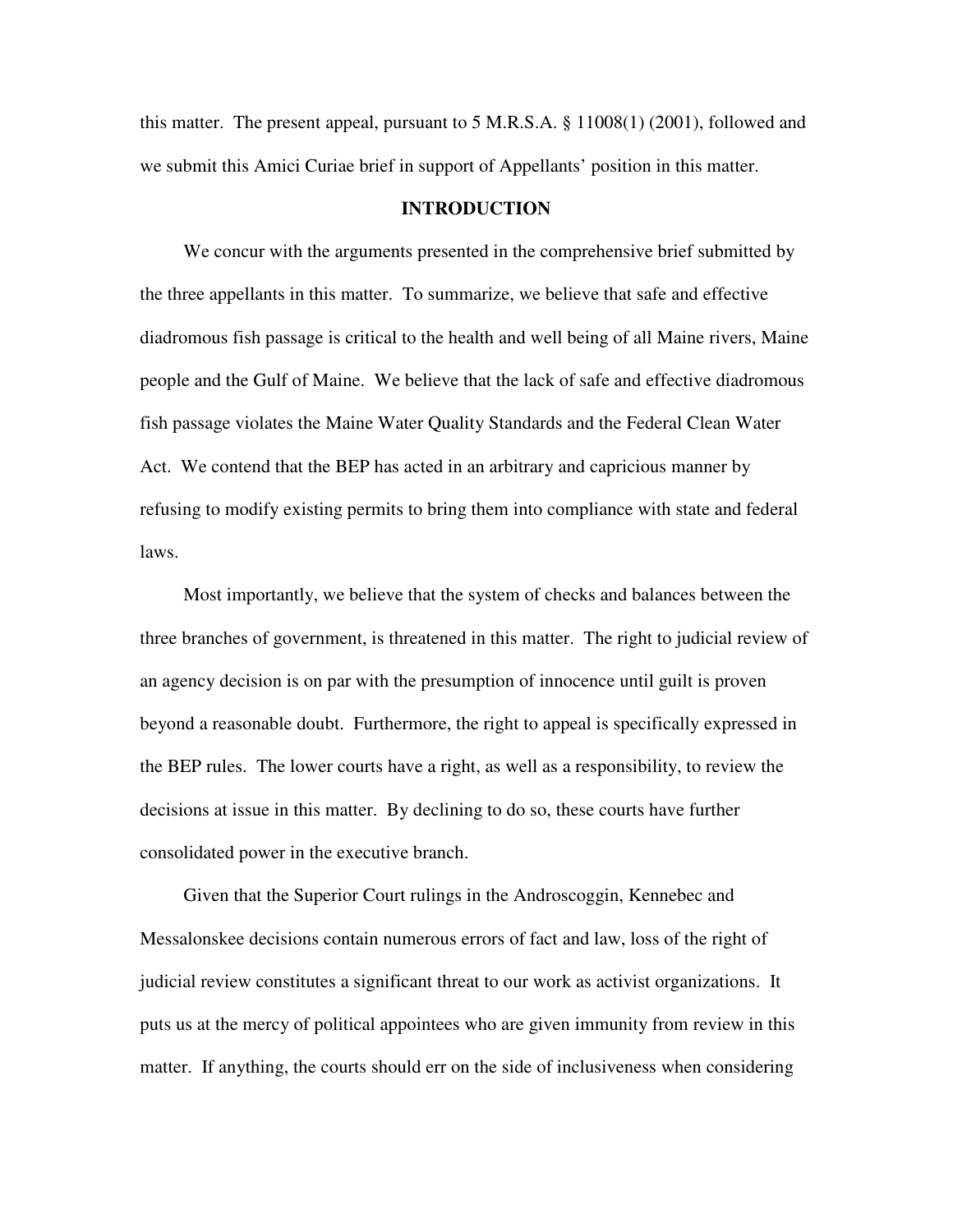this matter. The present appeal, pursuant to 5 M.R.S.A. § 11008(1) (2001), followed and we submit this Amici Curiae brief in support of Appellants' position in this matter.

#### **INTRODUCTION**

We concur with the arguments presented in the comprehensive brief submitted by the three appellants in this matter. To summarize, we believe that safe and effective diadromous fish passage is critical to the health and well being of all Maine rivers, Maine people and the Gulf of Maine. We believe that the lack of safe and effective diadromous fish passage violates the Maine Water Quality Standards and the Federal Clean Water Act. We contend that the BEP has acted in an arbitrary and capricious manner by refusing to modify existing permits to bring them into compliance with state and federal laws.

 Most importantly, we believe that the system of checks and balances between the three branches of government, is threatened in this matter. The right to judicial review of an agency decision is on par with the presumption of innocence until guilt is proven beyond a reasonable doubt. Furthermore, the right to appeal is specifically expressed in the BEP rules. The lower courts have a right, as well as a responsibility, to review the decisions at issue in this matter. By declining to do so, these courts have further consolidated power in the executive branch.

 Given that the Superior Court rulings in the Androscoggin, Kennebec and Messalonskee decisions contain numerous errors of fact and law, loss of the right of judicial review constitutes a significant threat to our work as activist organizations. It puts us at the mercy of political appointees who are given immunity from review in this matter. If anything, the courts should err on the side of inclusiveness when considering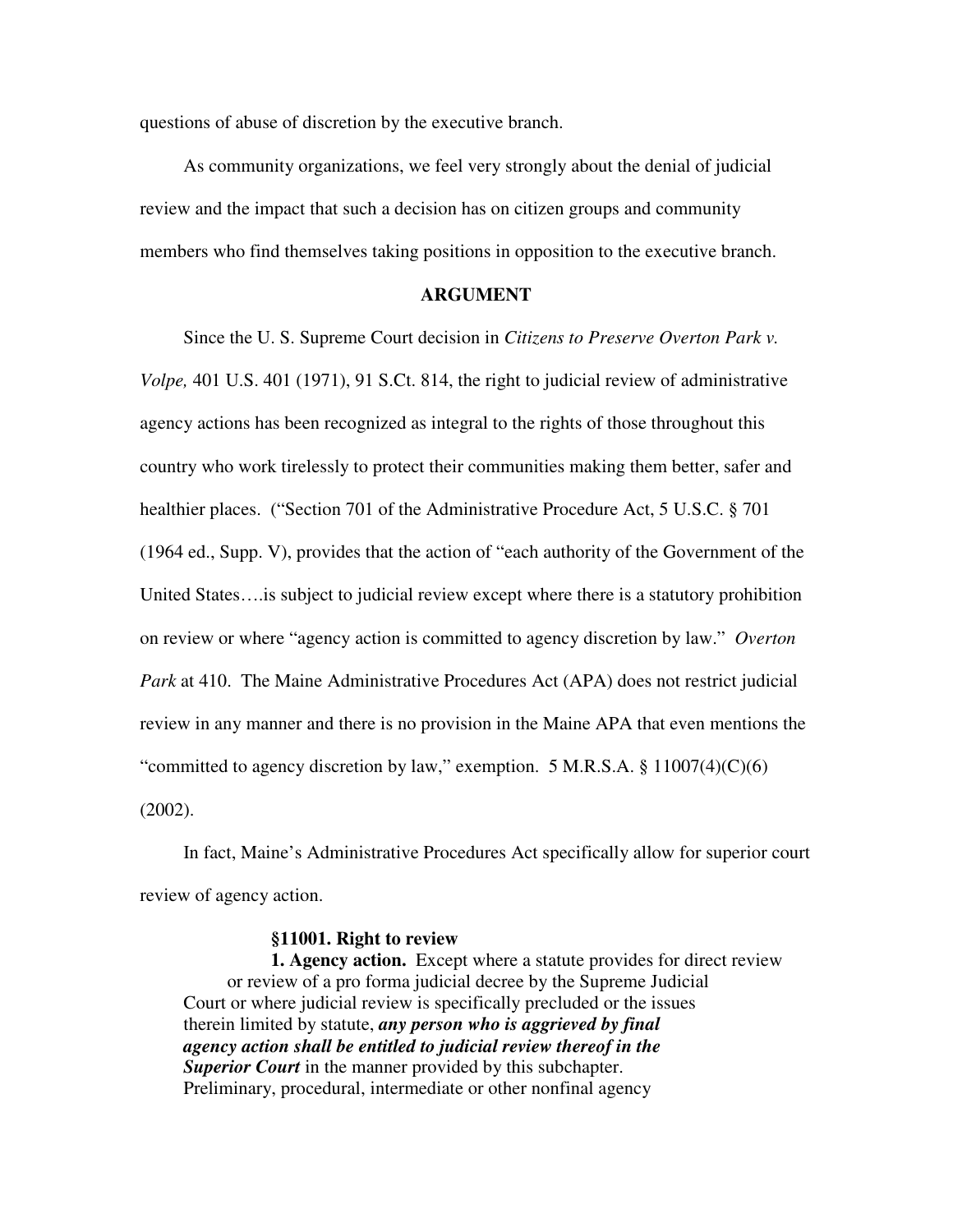questions of abuse of discretion by the executive branch.

 As community organizations, we feel very strongly about the denial of judicial review and the impact that such a decision has on citizen groups and community members who find themselves taking positions in opposition to the executive branch.

### **ARGUMENT**

 Since the U. S. Supreme Court decision in *Citizens to Preserve Overton Park v. Volpe,* 401 U.S. 401 (1971), 91 S.Ct. 814, the right to judicial review of administrative agency actions has been recognized as integral to the rights of those throughout this country who work tirelessly to protect their communities making them better, safer and healthier places. ("Section 701 of the Administrative Procedure Act, 5 U.S.C. § 701 (1964 ed., Supp. V), provides that the action of "each authority of the Government of the United States….is subject to judicial review except where there is a statutory prohibition on review or where "agency action is committed to agency discretion by law." *Overton Park* at 410. The Maine Administrative Procedures Act (APA) does not restrict judicial review in any manner and there is no provision in the Maine APA that even mentions the "committed to agency discretion by law," exemption. 5 M.R.S.A.  $\S$  11007(4)(C)(6) (2002).

 In fact, Maine's Administrative Procedures Act specifically allow for superior court review of agency action.

#### **§11001. Right to review**

 **1. Agency action.** Except where a statute provides for direct review or review of a pro forma judicial decree by the Supreme Judicial Court or where judicial review is specifically precluded or the issues therein limited by statute, *any person who is aggrieved by final agency action shall be entitled to judicial review thereof in the*  **Superior Court** in the manner provided by this subchapter. Preliminary, procedural, intermediate or other nonfinal agency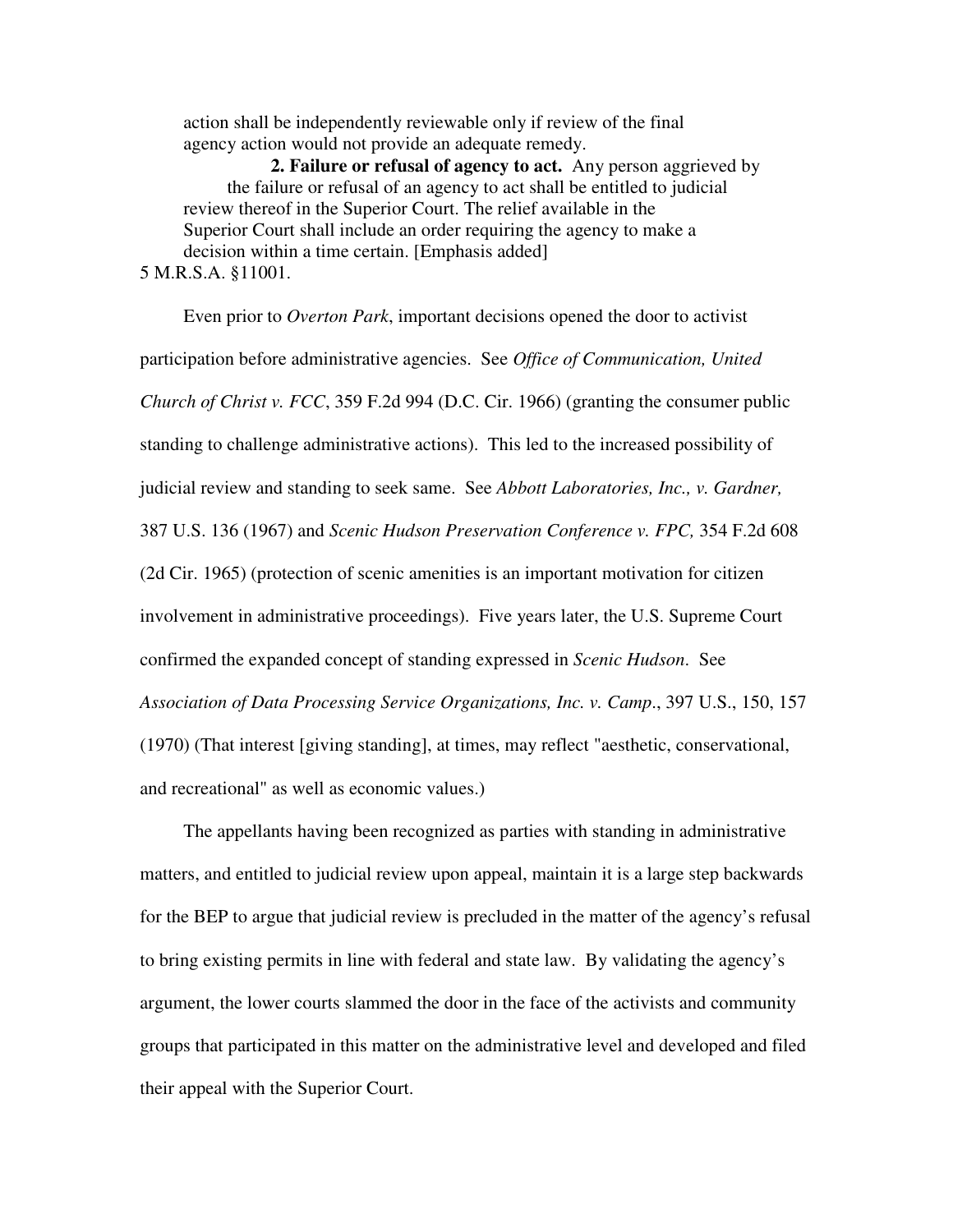action shall be independently reviewable only if review of the final agency action would not provide an adequate remedy.

 **2. Failure or refusal of agency to act.** Any person aggrieved by the failure or refusal of an agency to act shall be entitled to judicial review thereof in the Superior Court. The relief available in the Superior Court shall include an order requiring the agency to make a decision within a time certain. [Emphasis added] 5 M.R.S.A. §11001.

 Even prior to *Overton Park*, important decisions opened the door to activist participation before administrative agencies. See *Office of Communication, United Church of Christ v. FCC*, 359 F.2d 994 (D.C. Cir. 1966) (granting the consumer public standing to challenge administrative actions). This led to the increased possibility of judicial review and standing to seek same. See *Abbott Laboratories, Inc., v. Gardner,* 387 U.S. 136 (1967) and *Scenic Hudson Preservation Conference v. FPC,* 354 F.2d 608 (2d Cir. 1965) (protection of scenic amenities is an important motivation for citizen involvement in administrative proceedings). Five years later, the U.S. Supreme Court confirmed the expanded concept of standing expressed in *Scenic Hudson*. See *Association of Data Processing Service Organizations, Inc. v. Camp*., 397 U.S., 150, 157 (1970) (That interest [giving standing], at times, may reflect "aesthetic, conservational, and recreational" as well as economic values.)

The appellants having been recognized as parties with standing in administrative matters, and entitled to judicial review upon appeal, maintain it is a large step backwards for the BEP to argue that judicial review is precluded in the matter of the agency's refusal to bring existing permits in line with federal and state law. By validating the agency's argument, the lower courts slammed the door in the face of the activists and community groups that participated in this matter on the administrative level and developed and filed their appeal with the Superior Court.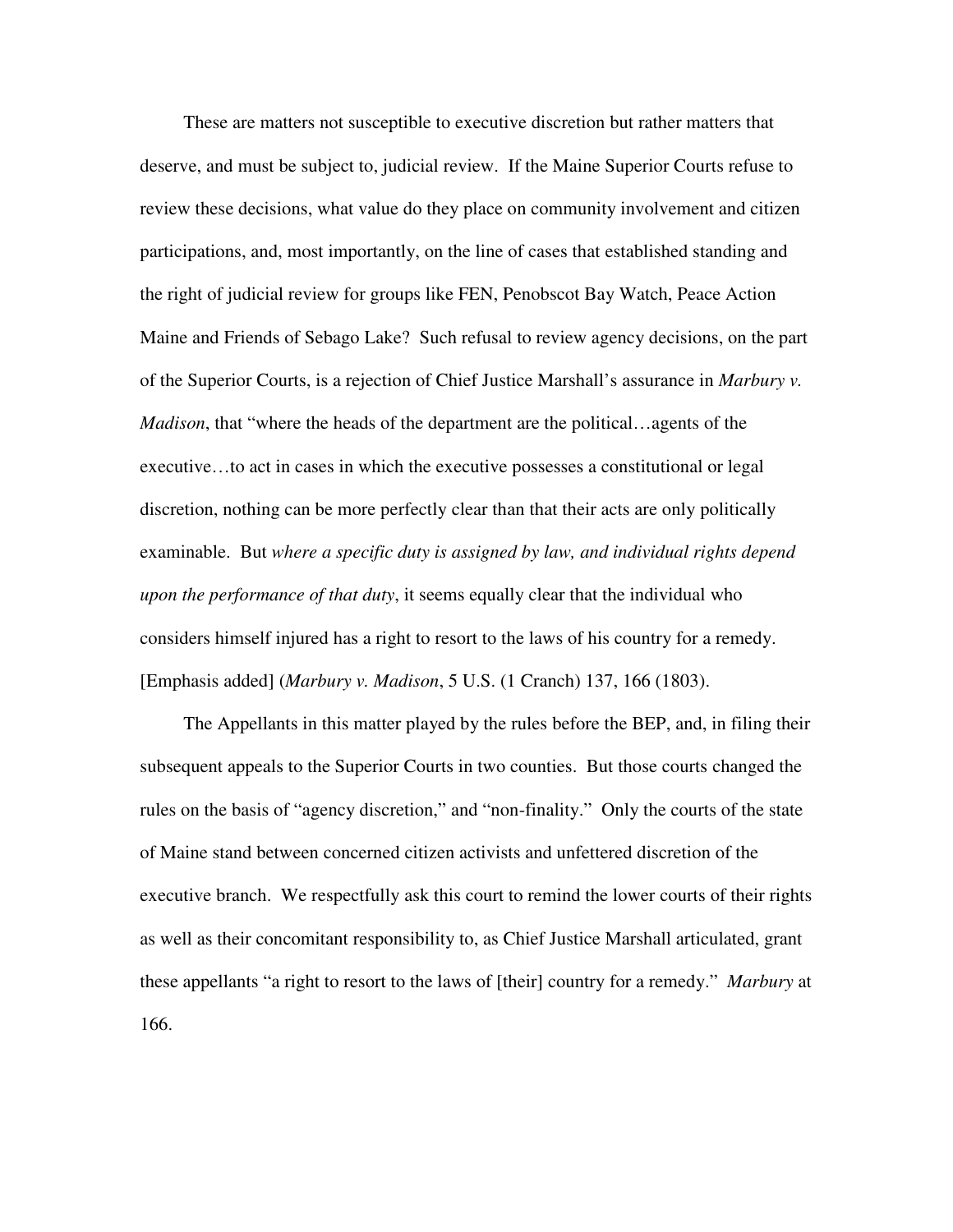These are matters not susceptible to executive discretion but rather matters that deserve, and must be subject to, judicial review. If the Maine Superior Courts refuse to review these decisions, what value do they place on community involvement and citizen participations, and, most importantly, on the line of cases that established standing and the right of judicial review for groups like FEN, Penobscot Bay Watch, Peace Action Maine and Friends of Sebago Lake? Such refusal to review agency decisions, on the part of the Superior Courts, is a rejection of Chief Justice Marshall's assurance in *Marbury v. Madison*, that "where the heads of the department are the political…agents of the executive…to act in cases in which the executive possesses a constitutional or legal discretion, nothing can be more perfectly clear than that their acts are only politically examinable. But *where a specific duty is assigned by law, and individual rights depend upon the performance of that duty*, it seems equally clear that the individual who considers himself injured has a right to resort to the laws of his country for a remedy. [Emphasis added] (*Marbury v. Madison*, 5 U.S. (1 Cranch) 137, 166 (1803).

The Appellants in this matter played by the rules before the BEP, and, in filing their subsequent appeals to the Superior Courts in two counties. But those courts changed the rules on the basis of "agency discretion," and "non-finality." Only the courts of the state of Maine stand between concerned citizen activists and unfettered discretion of the executive branch. We respectfully ask this court to remind the lower courts of their rights as well as their concomitant responsibility to, as Chief Justice Marshall articulated, grant these appellants "a right to resort to the laws of [their] country for a remedy." *Marbury* at 166.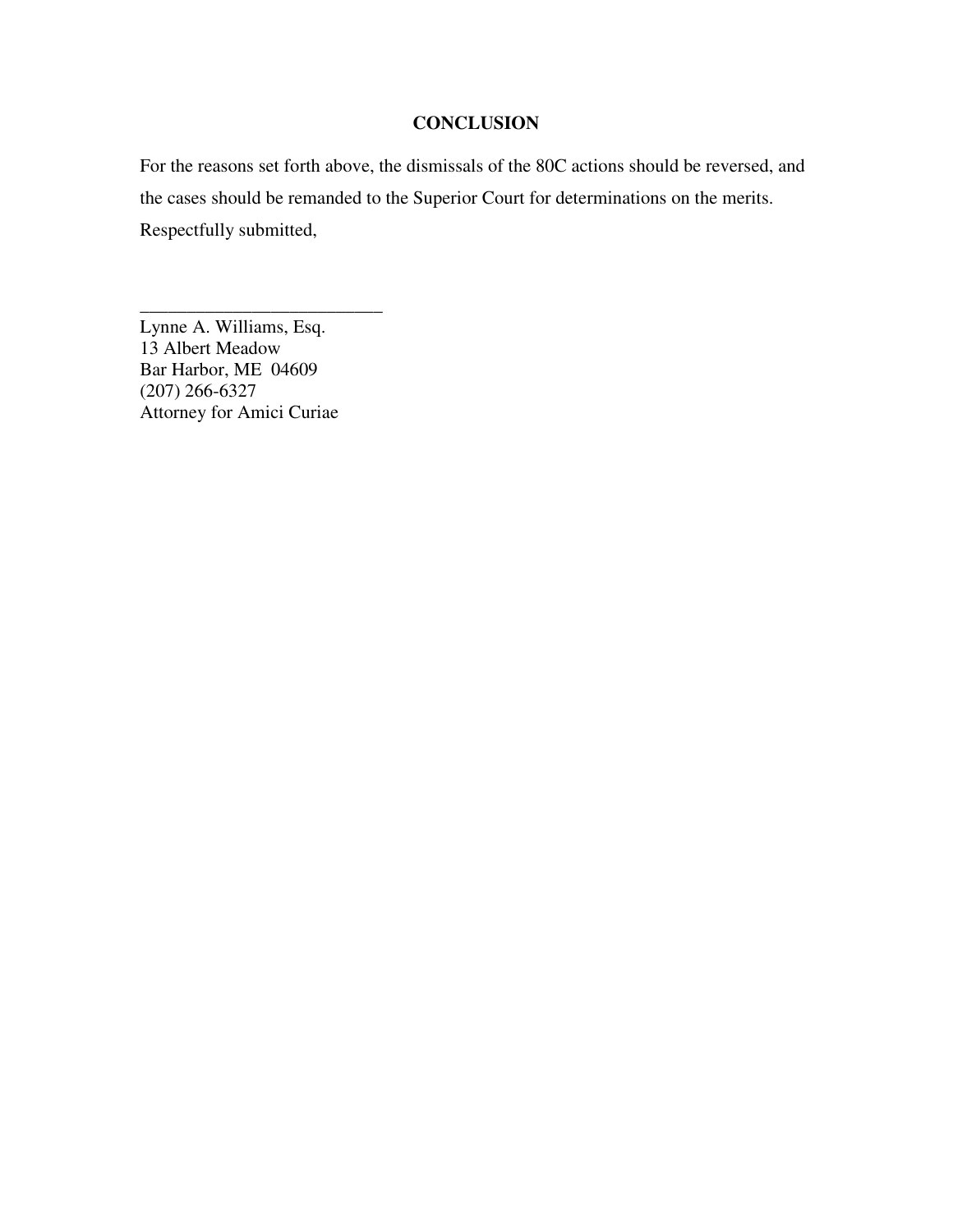## **CONCLUSION**

For the reasons set forth above, the dismissals of the 80C actions should be reversed, and the cases should be remanded to the Superior Court for determinations on the merits. Respectfully submitted,

Lynne A. Williams, Esq. 13 Albert Meadow Bar Harbor, ME 04609 (207) 266-6327 Attorney for Amici Curiae

\_\_\_\_\_\_\_\_\_\_\_\_\_\_\_\_\_\_\_\_\_\_\_\_\_\_